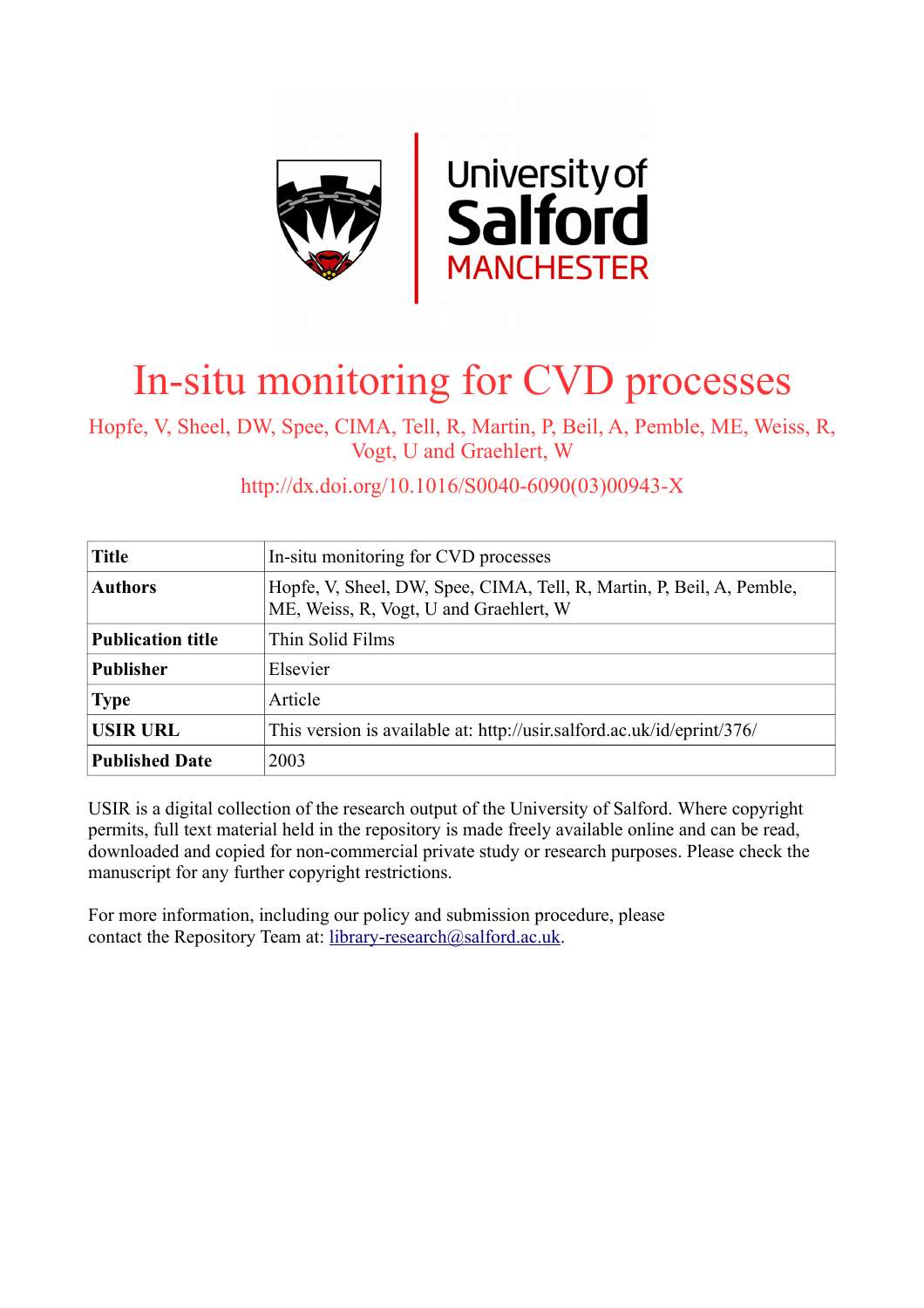

# In-situ monitoring for CVD processes

Hopfe, V, Sheel, DW, Spee, CIMA, Tell, R, Martin, P, Beil, A, Pemble, ME, Weiss, R, Vogt, U and Graehlert, W

http://dx.doi.org/10.1016/S0040-6090(03)00943-X

| <b>Title</b>             | In-situ monitoring for CVD processes                                                                            |
|--------------------------|-----------------------------------------------------------------------------------------------------------------|
| <b>Authors</b>           | Hopfe, V, Sheel, DW, Spee, CIMA, Tell, R, Martin, P, Beil, A, Pemble,<br>ME, Weiss, R, Vogt, U and Graehlert, W |
| <b>Publication title</b> | Thin Solid Films                                                                                                |
| <b>Publisher</b>         | Elsevier                                                                                                        |
| <b>Type</b>              | Article                                                                                                         |
| <b>USIR URL</b>          | This version is available at: http://usir.salford.ac.uk/id/eprint/376/                                          |
| <b>Published Date</b>    | 2003                                                                                                            |

USIR is a digital collection of the research output of the University of Salford. Where copyright permits, full text material held in the repository is made freely available online and can be read, downloaded and copied for non-commercial private study or research purposes. Please check the manuscript for any further copyright restrictions.

For more information, including our policy and submission procedure, please contact the Repository Team at: [library-research@salford.ac.uk.](mailto:library-research@salford.ac.uk)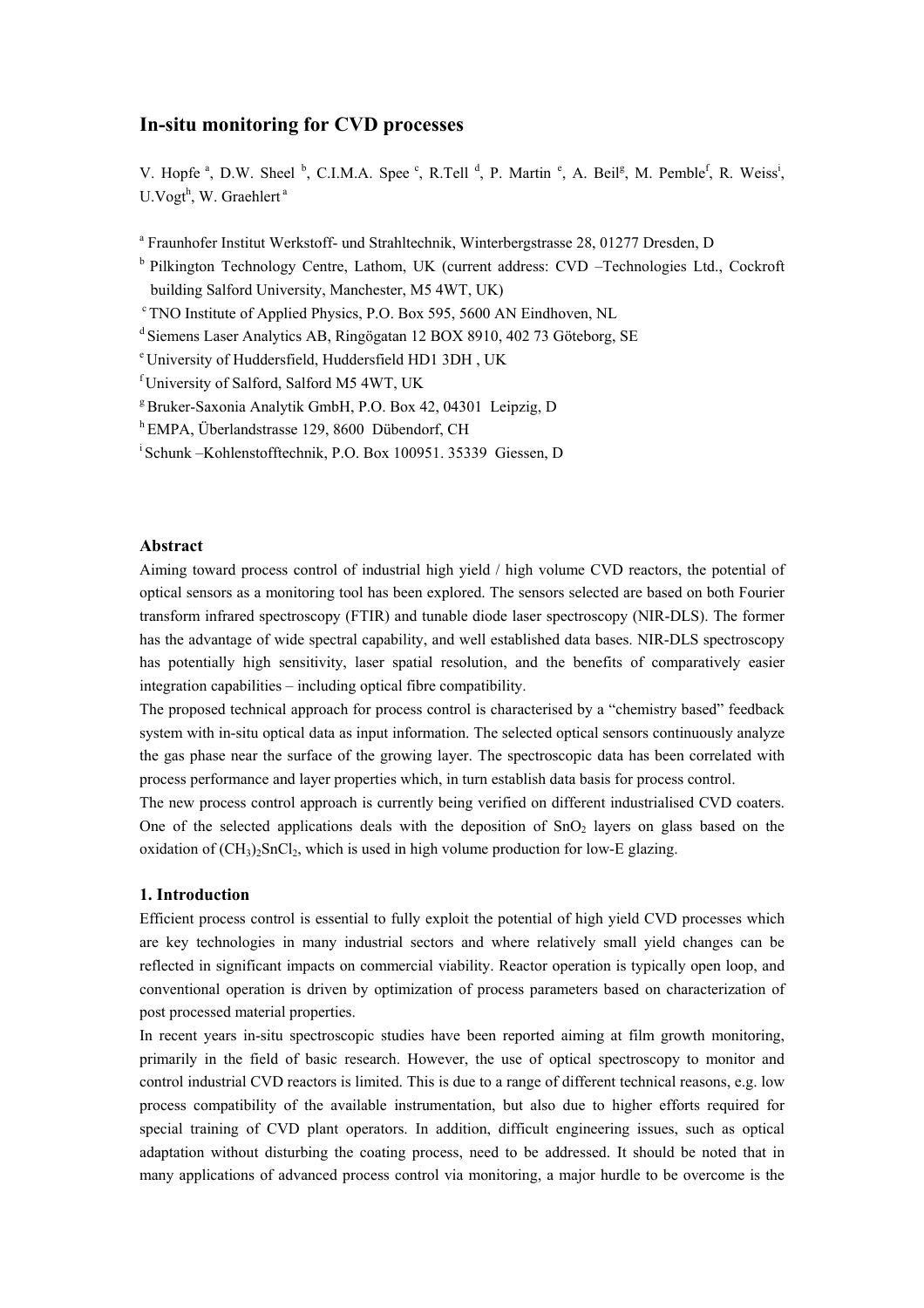# **In-situ monitoring for CVD processes**

V. Hopfe<sup>a</sup>, D.W. Sheel<sup>b</sup>, C.I.M.A. Spee<sup>c</sup>, R.Tell<sup>d</sup>, P. Martin<sup>e</sup>, A. Beil<sup>g</sup>, M. Pemble<sup>f</sup>, R. Weiss<sup>i</sup>, U. Vogt<sup>h</sup>, W. Graehlert<sup>a</sup>

<sup>a</sup> Fraunhofer Institut Werkstoff- und Strahltechnik, Winterbergstrasse 28, 01277 Dresden, D

<sup>b</sup> Pilkington Technology Centre, Lathom, UK (current address: CVD –Technologies Ltd., Cockroft building Salford University, Manchester, M5 4WT, UK)

c TNO Institute of Applied Physics, P.O. Box 595, 5600 AN Eindhoven, NL

<sup>d</sup> Siemens Laser Analytics AB, Ringögatan 12 BOX 8910, 402 73 Göteborg, SE

e University of Huddersfield, Huddersfield HD1 3DH , UK

f University of Salford, Salford M5 4WT, UK

g Bruker-Saxonia Analytik GmbH, P.O. Box 42, 04301 Leipzig, D

h EMPA, Überlandstrasse 129, 8600 Dübendorf, CH

i Schunk –Kohlenstofftechnik, P.O. Box 100951. 35339 Giessen, D

# **Abstract**

Aiming toward process control of industrial high yield / high volume CVD reactors, the potential of optical sensors as a monitoring tool has been explored. The sensors selected are based on both Fourier transform infrared spectroscopy (FTIR) and tunable diode laser spectroscopy (NIR-DLS). The former has the advantage of wide spectral capability, and well established data bases. NIR-DLS spectroscopy has potentially high sensitivity, laser spatial resolution, and the benefits of comparatively easier integration capabilities – including optical fibre compatibility.

The proposed technical approach for process control is characterised by a "chemistry based" feedback system with in-situ optical data as input information. The selected optical sensors continuously analyze the gas phase near the surface of the growing layer. The spectroscopic data has been correlated with process performance and layer properties which, in turn establish data basis for process control.

The new process control approach is currently being verified on different industrialised CVD coaters. One of the selected applications deals with the deposition of  $SnO<sub>2</sub>$  layers on glass based on the oxidation of  $(CH_3)$ <sub>2</sub>SnCl<sub>2</sub>, which is used in high volume production for low-E glazing.

## **1. Introduction**

Efficient process control is essential to fully exploit the potential of high yield CVD processes which are key technologies in many industrial sectors and where relatively small yield changes can be reflected in significant impacts on commercial viability. Reactor operation is typically open loop, and conventional operation is driven by optimization of process parameters based on characterization of post processed material properties.

In recent years in-situ spectroscopic studies have been reported aiming at film growth monitoring, primarily in the field of basic research. However, the use of optical spectroscopy to monitor and control industrial CVD reactors is limited. This is due to a range of different technical reasons, e.g. low process compatibility of the available instrumentation, but also due to higher efforts required for special training of CVD plant operators. In addition, difficult engineering issues, such as optical adaptation without disturbing the coating process, need to be addressed. It should be noted that in many applications of advanced process control via monitoring, a major hurdle to be overcome is the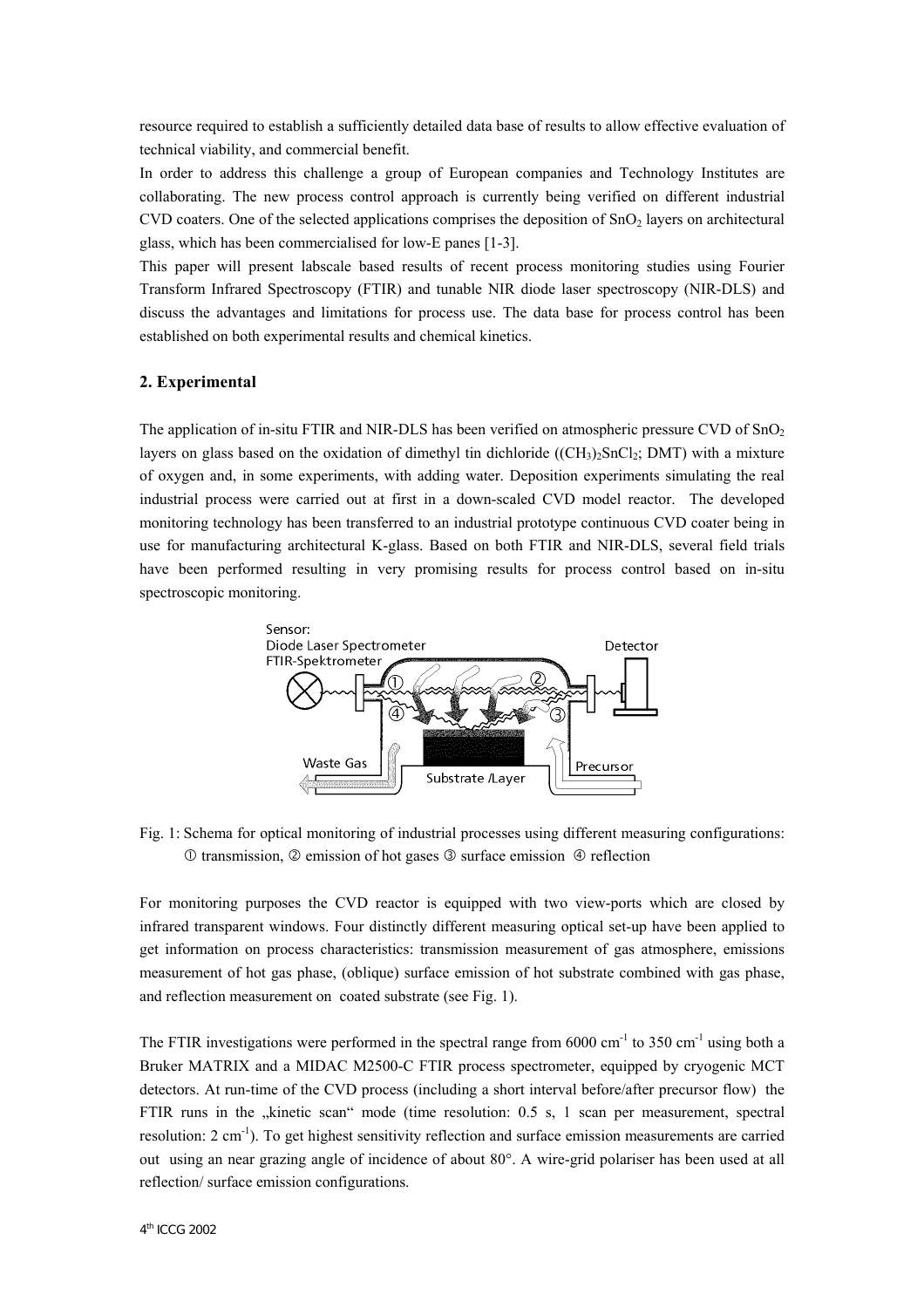resource required to establish a sufficiently detailed data base of results to allow effective evaluation of technical viability, and commercial benefit.

In order to address this challenge a group of European companies and Technology Institutes are collaborating. The new process control approach is currently being verified on different industrial CVD coaters. One of the selected applications comprises the deposition of  $SnO<sub>2</sub>$  layers on architectural glass, which has been commercialised for low-E panes [1-3].

This paper will present labscale based results of recent process monitoring studies using Fourier Transform Infrared Spectroscopy (FTIR) and tunable NIR diode laser spectroscopy (NIR-DLS) and discuss the advantages and limitations for process use. The data base for process control has been established on both experimental results and chemical kinetics.

# **2. Experimental**

The application of in-situ FTIR and NIR-DLS has been verified on atmospheric pressure CVD of  $SnO<sub>2</sub>$ layers on glass based on the oxidation of dimethyl tin dichloride (( $CH<sub>3</sub>$ ) $SnCl<sub>2</sub>$ ; DMT) with a mixture of oxygen and, in some experiments, with adding water. Deposition experiments simulating the real industrial process were carried out at first in a down-scaled CVD model reactor. The developed monitoring technology has been transferred to an industrial prototype continuous CVD coater being in use for manufacturing architectural K-glass. Based on both FTIR and NIR-DLS, several field trials have been performed resulting in very promising results for process control based on in-situ spectroscopic monitoring.



Fig. 1: Schema for optical monitoring of industrial processes using different measuring configurations:  $\oslash$  transmission,  $\oslash$  emission of hot gases  $\oslash$  surface emission  $\oslash$  reflection

For monitoring purposes the CVD reactor is equipped with two view-ports which are closed by infrared transparent windows. Four distinctly different measuring optical set-up have been applied to get information on process characteristics: transmission measurement of gas atmosphere, emissions measurement of hot gas phase, (oblique) surface emission of hot substrate combined with gas phase, and reflection measurement on coated substrate (see Fig. 1).

The FTIR investigations were performed in the spectral range from 6000 cm<sup>-1</sup> to 350 cm<sup>-1</sup> using both a Bruker MATRIX and a MIDAC M2500-C FTIR process spectrometer, equipped by cryogenic MCT detectors. At run-time of the CVD process (including a short interval before/after precursor flow) the FTIR runs in the "kinetic scan" mode (time resolution: 0.5 s, 1 scan per measurement, spectral resolution: 2 cm<sup>-1</sup>). To get highest sensitivity reflection and surface emission measurements are carried out using an near grazing angle of incidence of about 80°. A wire-grid polariser has been used at all reflection/ surface emission configurations.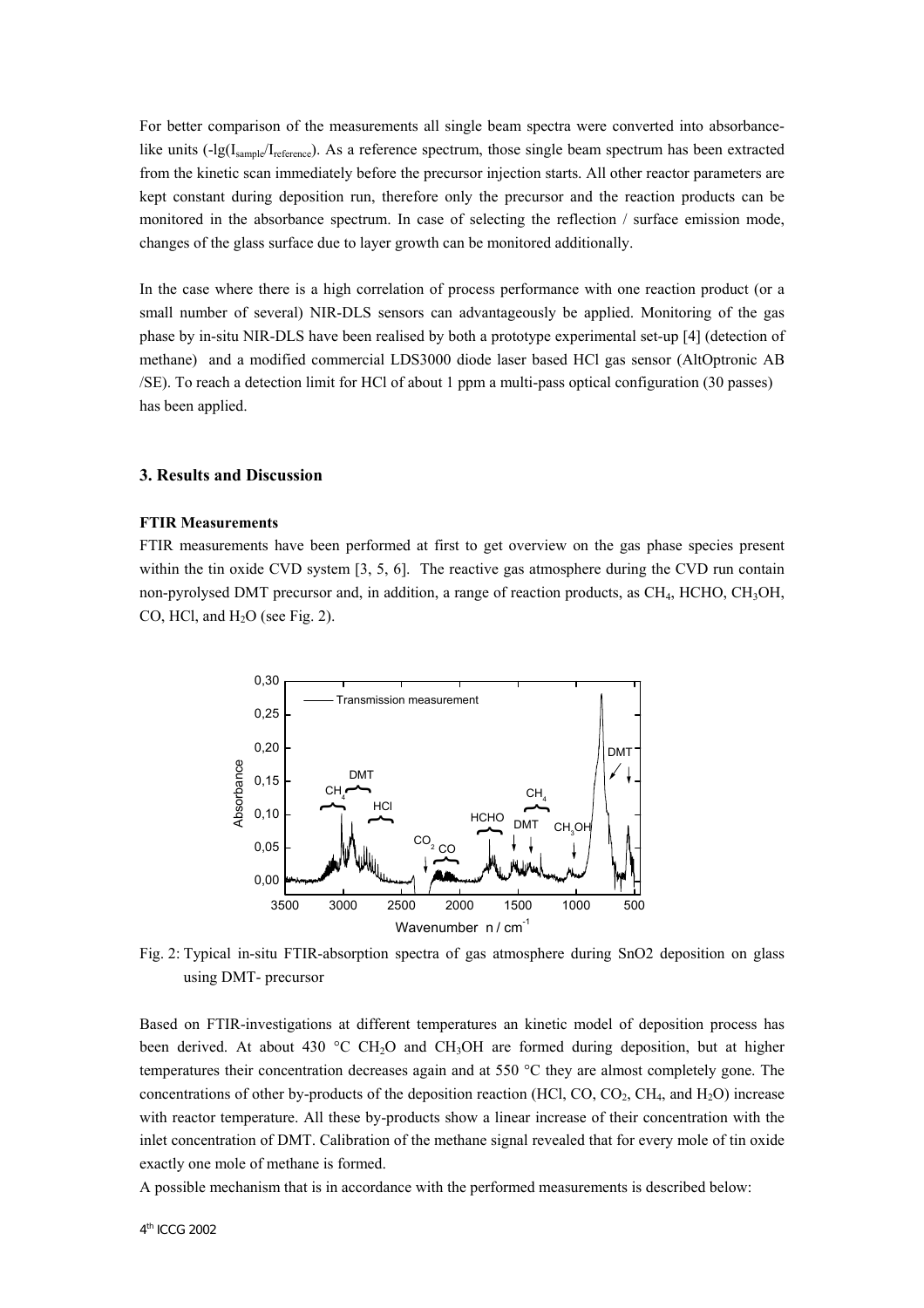For better comparison of the measurements all single beam spectra were converted into absorbancelike units (-lg(I<sub>sample</sub>/I<sub>reference</sub>). As a reference spectrum, those single beam spectrum has been extracted from the kinetic scan immediately before the precursor injection starts. All other reactor parameters are kept constant during deposition run, therefore only the precursor and the reaction products can be monitored in the absorbance spectrum. In case of selecting the reflection / surface emission mode, changes of the glass surface due to layer growth can be monitored additionally.

In the case where there is a high correlation of process performance with one reaction product (or a small number of several) NIR-DLS sensors can advantageously be applied. Monitoring of the gas phase by in-situ NIR-DLS have been realised by both a prototype experimental set-up [4] (detection of methane) and a modified commercial LDS3000 diode laser based HCl gas sensor (AltOptronic AB /SE). To reach a detection limit for HCl of about 1 ppm a multi-pass optical configuration (30 passes) has been applied.

## **3. Results and Discussion**

#### **FTIR Measurements**

FTIR measurements have been performed at first to get overview on the gas phase species present within the tin oxide CVD system [3, 5, 6]. The reactive gas atmosphere during the CVD run contain non-pyrolysed DMT precursor and, in addition, a range of reaction products, as CH<sub>4</sub>, HCHO, CH<sub>3</sub>OH, CO, HCl, and  $H<sub>2</sub>O$  (see Fig. 2).



Fig. 2: Typical in-situ FTIR-absorption spectra of gas atmosphere during SnO2 deposition on glass using DMT- precursor

Based on FTIR-investigations at different temperatures an kinetic model of deposition process has been derived. At about 430  $\degree$ C CH<sub>2</sub>O and CH<sub>3</sub>OH are formed during deposition, but at higher temperatures their concentration decreases again and at 550 °C they are almost completely gone. The concentrations of other by-products of the deposition reaction (HCl, CO, CO<sub>2</sub>, CH<sub>4</sub>, and H<sub>2</sub>O) increase with reactor temperature. All these by-products show a linear increase of their concentration with the inlet concentration of DMT. Calibration of the methane signal revealed that for every mole of tin oxide exactly one mole of methane is formed.

A possible mechanism that is in accordance with the performed measurements is described below: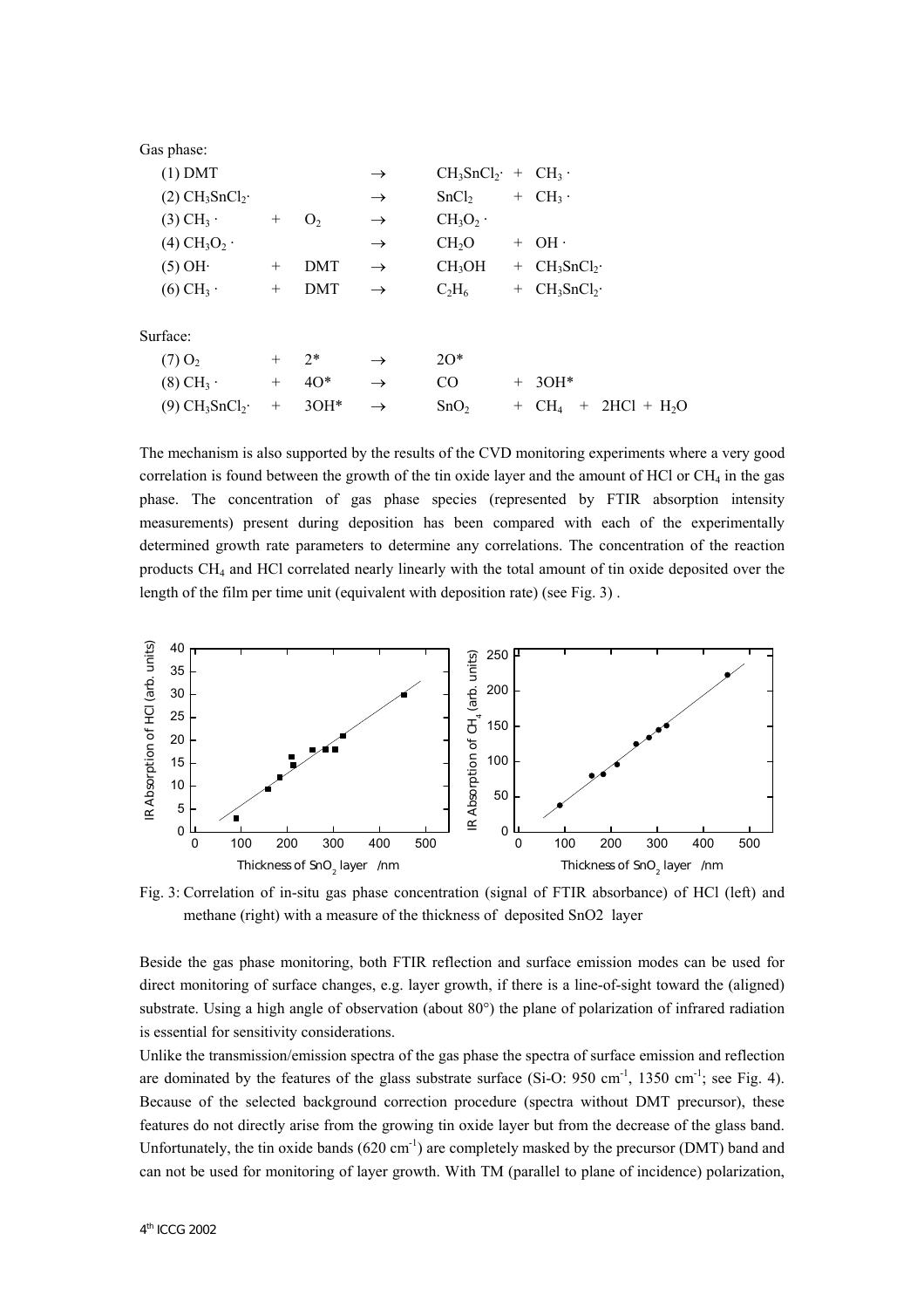| Gas phase:                                   |                |               |                         |                                         |
|----------------------------------------------|----------------|---------------|-------------------------|-----------------------------------------|
| $(1)$ DMT                                    |                | $\rightarrow$ | $CH_3SnCl_2$ + $CH_3$ · |                                         |
| $(2)$ CH <sub>3</sub> SnCl <sub>2</sub> ·    |                | $\rightarrow$ | SnCl <sub>2</sub>       | $+ CH_3$ .                              |
| $(3)$ CH <sub>3</sub> $\cdot$                | O <sub>2</sub> | $\rightarrow$ | $CH_3O_2$ .             |                                         |
| $(4)$ CH <sub>3</sub> O <sub>2</sub> $\cdot$ |                | $\rightarrow$ | CH <sub>2</sub> O       | $+$ OH $\cdot$                          |
| (5) OH·                                      | DMT            | $\rightarrow$ | CH3OH                   | $+$ CH <sub>3</sub> SnCl <sub>2</sub> . |

| $(6)$ CH <sub>3</sub> $\cdot$ | $^{+}$ | DMT      | $\rightarrow$ | $C_2H_6$         | $+$ CH <sub>3</sub> SnCl <sub>2</sub> . |
|-------------------------------|--------|----------|---------------|------------------|-----------------------------------------|
| Surface:                      |        |          |               |                  |                                         |
| (7) O <sub>2</sub>            |        | $+$ 2*   | $\rightarrow$ | $2O*$            |                                         |
| $(8)$ CH <sub>3</sub> $\cdot$ | $^{+}$ | $40*$    | $\rightarrow$ | CO.              | $+ 3OH*$                                |
| (9) $CH_3SnCl_2$ .            |        | $+ 3OH*$ | $\rightarrow$ | SnO <sub>2</sub> | + $CH_4$ + 2HCl + H <sub>2</sub> O      |

The mechanism is also supported by the results of the CVD monitoring experiments where a very good correlation is found between the growth of the tin oxide layer and the amount of HCl or  $CH<sub>4</sub>$  in the gas phase. The concentration of gas phase species (represented by FTIR absorption intensity measurements) present during deposition has been compared with each of the experimentally determined growth rate parameters to determine any correlations. The concentration of the reaction products CH4 and HCl correlated nearly linearly with the total amount of tin oxide deposited over the length of the film per time unit (equivalent with deposition rate) (see Fig. 3) .



Fig. 3: Correlation of in-situ gas phase concentration (signal of FTIR absorbance) of HCl (left) and methane (right) with a measure of the thickness of deposited SnO2 layer

Beside the gas phase monitoring, both FTIR reflection and surface emission modes can be used for direct monitoring of surface changes, e.g. layer growth, if there is a line-of-sight toward the (aligned) substrate. Using a high angle of observation (about 80°) the plane of polarization of infrared radiation is essential for sensitivity considerations.

Unlike the transmission/emission spectra of the gas phase the spectra of surface emission and reflection are dominated by the features of the glass substrate surface (Si-O: 950 cm<sup>-1</sup>, 1350 cm<sup>-1</sup>; see Fig. 4). Because of the selected background correction procedure (spectra without DMT precursor), these features do not directly arise from the growing tin oxide layer but from the decrease of the glass band. Unfortunately, the tin oxide bands  $(620 \text{ cm}^{-1})$  are completely masked by the precursor (DMT) band and can not be used for monitoring of layer growth. With TM (parallel to plane of incidence) polarization,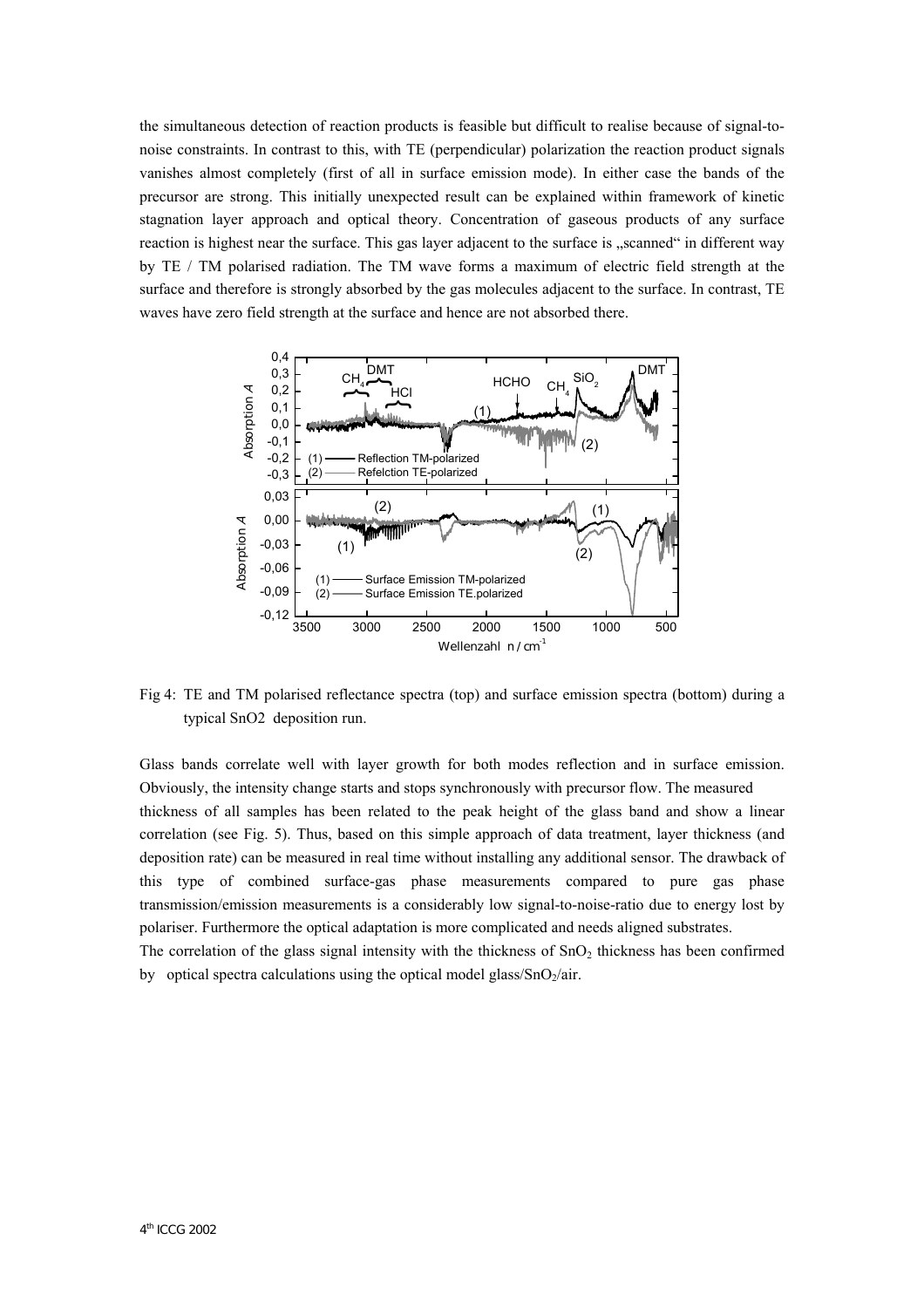the simultaneous detection of reaction products is feasible but difficult to realise because of signal-tonoise constraints. In contrast to this, with TE (perpendicular) polarization the reaction product signals vanishes almost completely (first of all in surface emission mode). In either case the bands of the precursor are strong. This initially unexpected result can be explained within framework of kinetic stagnation layer approach and optical theory. Concentration of gaseous products of any surface reaction is highest near the surface. This gas layer adjacent to the surface is "scanned" in different way by TE / TM polarised radiation. The TM wave forms a maximum of electric field strength at the surface and therefore is strongly absorbed by the gas molecules adjacent to the surface. In contrast, TE waves have zero field strength at the surface and hence are not absorbed there.



Fig 4: TE and TM polarised reflectance spectra (top) and surface emission spectra (bottom) during a typical SnO2 deposition run.

Glass bands correlate well with layer growth for both modes reflection and in surface emission. Obviously, the intensity change starts and stops synchronously with precursor flow. The measured thickness of all samples has been related to the peak height of the glass band and show a linear correlation (see Fig. 5). Thus, based on this simple approach of data treatment, layer thickness (and deposition rate) can be measured in real time without installing any additional sensor. The drawback of this type of combined surface-gas phase measurements compared to pure gas phase transmission/emission measurements is a considerably low signal-to-noise-ratio due to energy lost by polariser. Furthermore the optical adaptation is more complicated and needs aligned substrates.

The correlation of the glass signal intensity with the thickness of  $SnO<sub>2</sub>$  thickness has been confirmed by optical spectra calculations using the optical model glass/ $SnO<sub>2</sub>/air$ .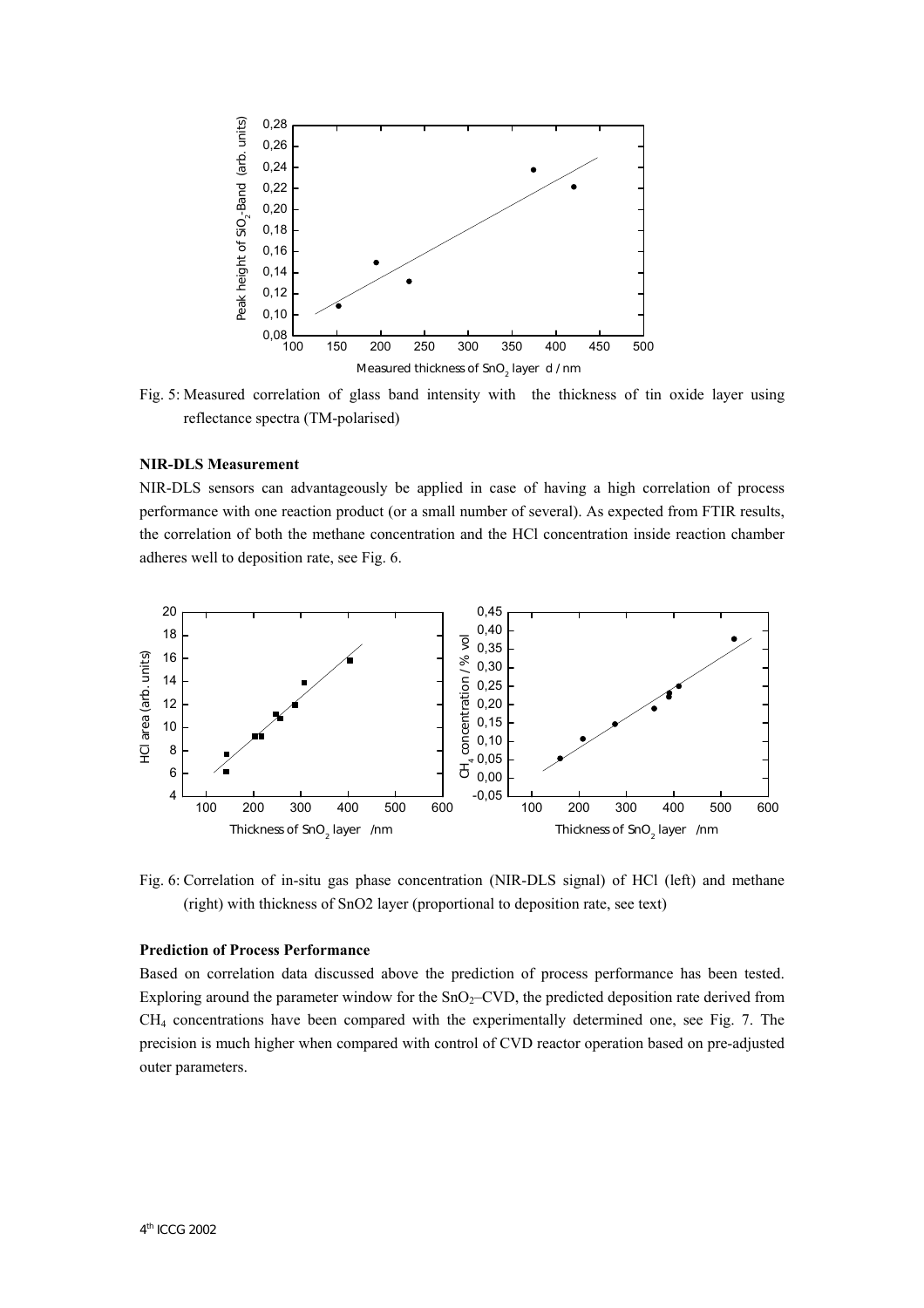

Fig. 5: Measured correlation of glass band intensity with the thickness of tin oxide layer using reflectance spectra (TM-polarised)

#### **NIR-DLS Measurement**

NIR-DLS sensors can advantageously be applied in case of having a high correlation of process performance with one reaction product (or a small number of several). As expected from FTIR results, the correlation of both the methane concentration and the HCl concentration inside reaction chamber adheres well to deposition rate, see Fig. 6.



Fig. 6: Correlation of in-situ gas phase concentration (NIR-DLS signal) of HCl (left) and methane (right) with thickness of SnO2 layer (proportional to deposition rate, see text)

# **Prediction of Process Performance**

Based on correlation data discussed above the prediction of process performance has been tested. Exploring around the parameter window for the  $SnO<sub>2</sub>-CVD$ , the predicted deposition rate derived from  $CH<sub>4</sub>$  concentrations have been compared with the experimentally determined one, see Fig. 7. The precision is much higher when compared with control of CVD reactor operation based on pre-adjusted outer parameters.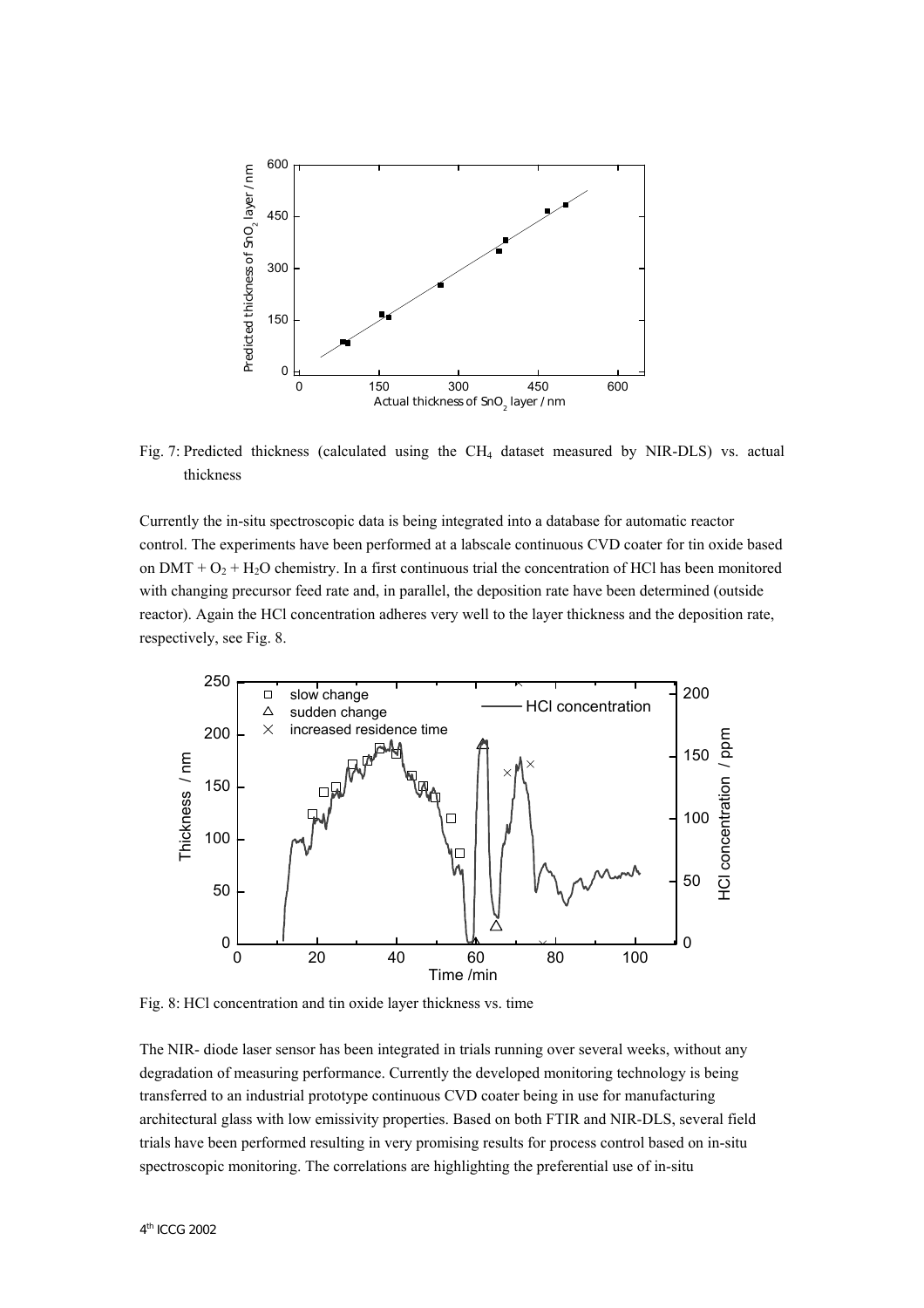

Fig. 7: Predicted thickness (calculated using the CH<sub>4</sub> dataset measured by NIR-DLS) vs. actual thickness

Currently the in-situ spectroscopic data is being integrated into a database for automatic reactor control. The experiments have been performed at a labscale continuous CVD coater for tin oxide based on  $DMT + O_2 + H_2O$  chemistry. In a first continuous trial the concentration of HCl has been monitored with changing precursor feed rate and, in parallel, the deposition rate have been determined (outside reactor). Again the HCl concentration adheres very well to the layer thickness and the deposition rate, respectively, see Fig. 8.



Fig. 8: HCl concentration and tin oxide layer thickness vs. time

The NIR- diode laser sensor has been integrated in trials running over several weeks, without any degradation of measuring performance. Currently the developed monitoring technology is being transferred to an industrial prototype continuous CVD coater being in use for manufacturing architectural glass with low emissivity properties. Based on both FTIR and NIR-DLS, several field trials have been performed resulting in very promising results for process control based on in-situ spectroscopic monitoring. The correlations are highlighting the preferential use of in-situ